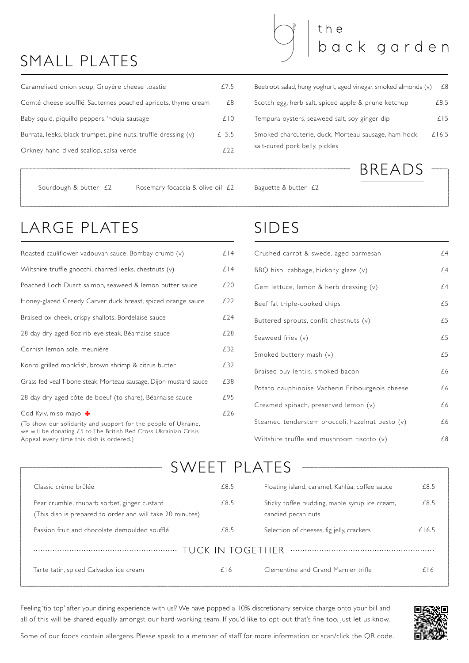Appeal every time this dish is ordered.)

| Roasted cauliflower, vadouvan sauce, Bombay crumb (v)                                                                                                     | £14 |
|-----------------------------------------------------------------------------------------------------------------------------------------------------------|-----|
| Wiltshire truffle gnocchi, charred leeks, chestnuts (v)                                                                                                   | £14 |
| Poached Loch Duart salmon, seaweed & lemon butter sauce                                                                                                   | £20 |
| Honey-glazed Creedy Carver duck breast, spiced orange sauce                                                                                               | £22 |
| Braised ox cheek, crispy shallots, Bordelaise sauce                                                                                                       | £24 |
| 28 day dry-aged 80z rib-eye steak, Béarnaise sauce                                                                                                        | £28 |
| Cornish lemon sole, meunière                                                                                                                              | £32 |
| Konro grilled monkfish, brown shrimp & citrus butter                                                                                                      | £32 |
| Grass-fed veal T-bone steak, Morteau sausage, Dijon mustard sauce                                                                                         | £38 |
| 28 day dry-aged côte de boeuf (to share), Béarnaise sauce                                                                                                 | £95 |
| Cod Kyiv, miso mayo<br>(To show our solidarity and support for the people of Ukraine,<br>we will be donating £5 to The British Red Cross Ukrainian Crisis | £26 |

| Caramelised onion soup, Gruyère cheese toastie                 | f/5   |
|----------------------------------------------------------------|-------|
| Comté cheese soufflé, Sauternes poached apricots, thyme cream  | £8    |
| Baby squid, piquillo peppers, 'nduja sausage                   | f 0   |
| Burrata, leeks, black trumpet, pine nuts, truffle dressing (v) | £15.5 |
| Orkney hand-dived scallop, salsa verde                         |       |

| Crushed carrot & swede, aged parmesan            | £4 |
|--------------------------------------------------|----|
| BBQ hispi cabbage, hickory glaze (v)             | £4 |
| Gem lettuce, lemon & herb dressing $(v)$         | £4 |
| Beef fat triple-cooked chips                     | £5 |
| Buttered sprouts, confit chestnuts $(v)$         | £5 |
| Seaweed fries (v)                                | £5 |
| Smoked buttery mash (v)                          | £5 |
| Braised puy lentils, smoked bacon                | £6 |
| Potato dauphinoise, Vacherin Fribourgeois cheese | £6 |
| Creamed spinach, preserved lemon (v)             | £6 |
| Steamed tenderstem broccoli, hazelnut pesto (v)  | £6 |
| Wiltshire truffle and mushroom risotto $(v)$     | £8 |

| Classic crème brûlée | Floating island, caramel, Kahlúa, coffee sauce | £8.5 |
|----------------------|------------------------------------------------|------|
|                      |                                                |      |

| Pear crumble, rhubarb sorbet, ginger custard<br>(This dish is prepared to order and will take 20 minutes) | £8.5 | Sticky toffee pudding, maple syrup ice cream,<br>candied pecan nuts | £8.5  |
|-----------------------------------------------------------------------------------------------------------|------|---------------------------------------------------------------------|-------|
| Passion fruit and chocolate demoulded soufflé                                                             | £8.5 | Selection of cheeses, fig jelly, crackers                           | £16.5 |
|                                                                                                           |      |                                                                     |       |
| Tarte tatin, spiced Calvados ice cream                                                                    | £16  | Clementine and Grand Marnier trifle                                 | £16   |
|                                                                                                           |      |                                                                     |       |

## SIDES

# LARGE PLATES

# SMALL PLATES

Feeling 'tip top' after your dining experience with us!? We have popped a 10% discretionary service charge onto your bill and all of this will be shared equally amongst our hard-working team. If you'd like to opt-out that's fine too, just let us know.

Some of our foods contain allergens. Please speak to a member of staff for more information or scan/click the QR code.



| Beetroot salad, hung yoghurt, aged vinegar, smoked almonds (v)                         | £8      |
|----------------------------------------------------------------------------------------|---------|
| Scotch egg, herb salt, spiced apple & prune ketchup                                    | £8.5    |
| Tempura oysters, seaweed salt, soy ginger dip                                          | $f$   5 |
| Smoked charcuterie, duck, Morteau sausage, ham hock,<br>salt-cured pork belly, pickles | £16.5   |

the

## SWEET PLATES

BREADS

back garden

Sourdough & butter  $£2$  Rosemary focaccia & olive oil  $£2$  Baguette & butter  $£2$